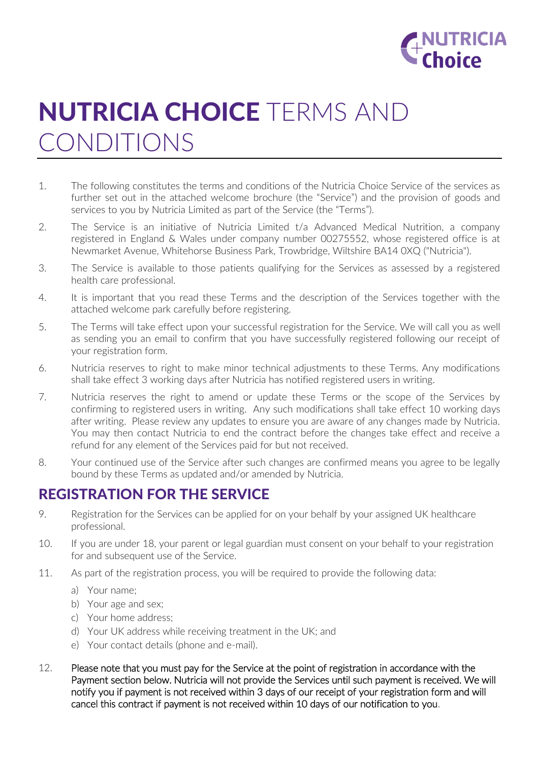

# NUTRICIA CHOICE TERMS AND CONDITIONS

- 1. The following constitutes the terms and conditions of the Nutricia Choice Service of the services as further set out in the attached welcome brochure (the "Service") and the provision of goods and services to you by Nutricia Limited as part of the Service (the "Terms").
- 2. The Service is an initiative of Nutricia Limited t/a Advanced Medical Nutrition, a company registered in England & Wales under company number 00275552, whose registered office is at Newmarket Avenue, Whitehorse Business Park, Trowbridge, Wiltshire BA14 0XQ ("Nutricia").
- 3. The Service is available to those patients qualifying for the Services as assessed by a registered health care professional.
- 4. It is important that you read these Terms and the description of the Services together with the attached welcome park carefully before registering.
- 5. The Terms will take effect upon your successful registration for the Service. We will call you as well as sending you an email to confirm that you have successfully registered following our receipt of your registration form.
- 6. Nutricia reserves to right to make minor technical adjustments to these Terms. Any modifications shall take effect 3 working days after Nutricia has notified registered users in writing.
- 7. Nutricia reserves the right to amend or update these Terms or the scope of the Services by confirming to registered users in writing. Any such modifications shall take effect 10 working days after writing. Please review any updates to ensure you are aware of any changes made by Nutricia. You may then contact Nutricia to end the contract before the changes take effect and receive a refund for any element of the Services paid for but not received.
- 8. Your continued use of the Service after such changes are confirmed means you agree to be legally bound by these Terms as updated and/or amended by Nutricia.

## REGISTRATION FOR THE SERVICE

- 9. Registration for the Services can be applied for on your behalf by your assigned UK healthcare professional.
- 10. If you are under 18, your parent or legal guardian must consent on your behalf to your registration for and subsequent use of the Service.
- 11. As part of the registration process, you will be required to provide the following data:
	- a) Your name;
	- b) Your age and sex;
	- c) Your home address;
	- d) Your UK address while receiving treatment in the UK; and
	- e) Your contact details (phone and e-mail).
- 12. Please note that you must pay for the Service at the point of registration in accordance with the Payment section below. Nutricia will not provide the Services until such payment is received. We will notify you if payment is not received within 3 days of our receipt of your registration form and will cancel this contract if payment is not received within 10 days of our notification to you.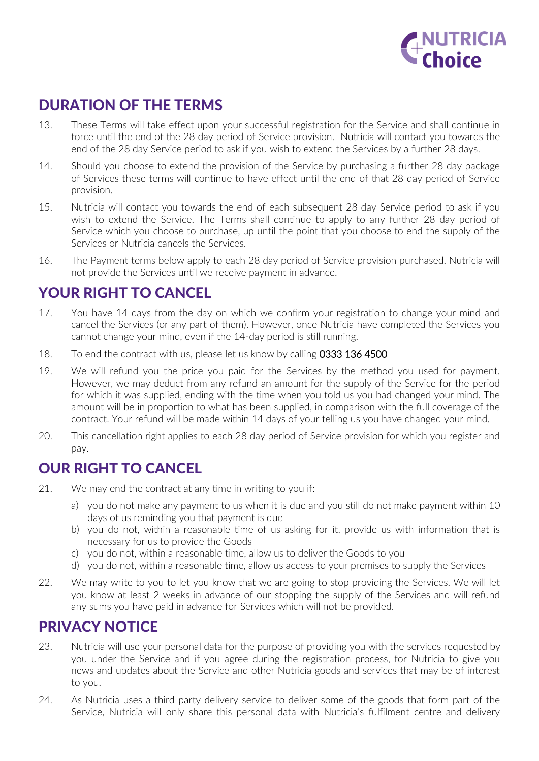

# DURATION OF THE TERMS

- 13. These Terms will take effect upon your successful registration for the Service and shall continue in force until the end of the 28 day period of Service provision. Nutricia will contact you towards the end of the 28 day Service period to ask if you wish to extend the Services by a further 28 days.
- 14. Should you choose to extend the provision of the Service by purchasing a further 28 day package of Services these terms will continue to have effect until the end of that 28 day period of Service provision.
- 15. Nutricia will contact you towards the end of each subsequent 28 day Service period to ask if you wish to extend the Service. The Terms shall continue to apply to any further 28 day period of Service which you choose to purchase, up until the point that you choose to end the supply of the Services or Nutricia cancels the Services.
- 16. The Payment terms below apply to each 28 day period of Service provision purchased. Nutricia will not provide the Services until we receive payment in advance.

#### YOUR RIGHT TO CANCEL

- 17. You have 14 days from the day on which we confirm your registration to change your mind and cancel the Services (or any part of them). However, once Nutricia have completed the Services you cannot change your mind, even if the 14-day period is still running.
- 18. To end the contract with us, please let us know by calling 0333 136 4500
- 19. We will refund you the price you paid for the Services by the method you used for payment. However, we may deduct from any refund an amount for the supply of the Service for the period for which it was supplied, ending with the time when you told us you had changed your mind. The amount will be in proportion to what has been supplied, in comparison with the full coverage of the contract. Your refund will be made within 14 days of your telling us you have changed your mind.
- 20. This cancellation right applies to each 28 day period of Service provision for which you register and pay.

#### OUR RIGHT TO CANCEL

- 21. We may end the contract at any time in writing to you if:
	- a) you do not make any payment to us when it is due and you still do not make payment within 10 days of us reminding you that payment is due
	- b) you do not, within a reasonable time of us asking for it, provide us with information that is necessary for us to provide the Goods
	- c) you do not, within a reasonable time, allow us to deliver the Goods to you
	- d) you do not, within a reasonable time, allow us access to your premises to supply the Services
- 22. We may write to you to let you know that we are going to stop providing the Services. We will let you know at least 2 weeks in advance of our stopping the supply of the Services and will refund any sums you have paid in advance for Services which will not be provided.

## PRIVACY NOTICE

- 23. Nutricia will use your personal data for the purpose of providing you with the services requested by you under the Service and if you agree during the registration process, for Nutricia to give you news and updates about the Service and other Nutricia goods and services that may be of interest to you.
- 24. As Nutricia uses a third party delivery service to deliver some of the goods that form part of the Service, Nutricia will only share this personal data with Nutricia's fulfilment centre and delivery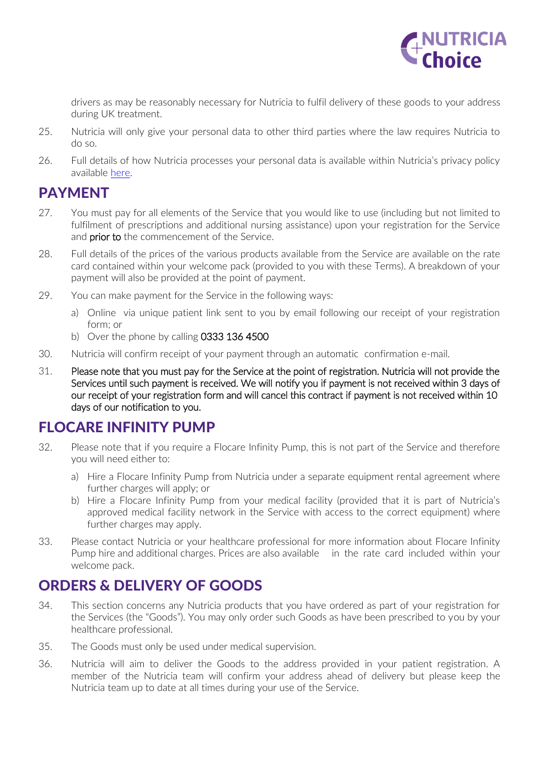

drivers as may be reasonably necessary for Nutricia to fulfil delivery of these goods to your address during UK treatment.

- 25. Nutricia will only give your personal data to other third parties where the law requires Nutricia to do so.
- 26. Full details of how Nutricia processes your personal data is available within Nutricia's privacy policy available [here.](http://www.nutriciahomeward.co.uk/general/privacy_policy)

#### PAYMENT

- 27. You must pay for all elements of the Service that you would like to use (including but not limited to fulfilment of prescriptions and additional nursing assistance) upon your registration for the Service and **prior to** the commencement of the Service.
- 28. Full details of the prices of the various products available from the Service are available on the rate card contained within your welcome pack (provided to you with these Terms). A breakdown of your payment will also be provided at the point of payment.
- 29. You can make payment for the Service in the following ways:
	- a) Online via unique patient link sent to you by email following our receipt of your registration form; or
	- b) Over the phone by calling 0333 136 4500
- 30. Nutricia will confirm receipt of your payment through an automatic confirmation e-mail.
- 31. Please note that you must pay for the Service at the point of registration. Nutricia will not provide the Services until such payment is received. We will notify you if payment is not received within 3 days of our receipt of your registration form and will cancel this contract if payment is not received within 10 days of our notification to you.

## FLOCARE INFINITY PUMP

- 32. Please note that if you require a Flocare Infinity Pump, this is not part of the Service and therefore you will need either to:
	- a) Hire a Flocare Infinity Pump from Nutricia under a separate equipment rental agreement where further charges will apply; or
	- b) Hire a Flocare Infinity Pump from your medical facility (provided that it is part of Nutricia's approved medical facility network in the Service with access to the correct equipment) where further charges may apply.
- 33. Please contact Nutricia or your healthcare professional for more information about Flocare Infinity Pump hire and additional charges. Prices are also available in the rate card included within your welcome pack.

## ORDERS & DELIVERY OF GOODS

- 34. This section concerns any Nutricia products that you have ordered as part of your registration for the Services (the "Goods"). You may only order such Goods as have been prescribed to you by your healthcare professional.
- 35. The Goods must only be used under medical supervision.
- 36. Nutricia will aim to deliver the Goods to the address provided in your patient registration. A member of the Nutricia team will confirm your address ahead of delivery but please keep the Nutricia team up to date at all times during your use of the Service.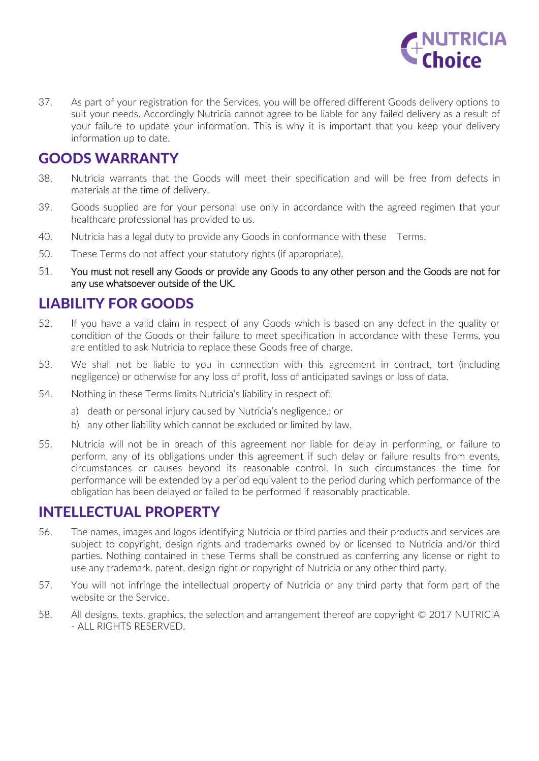

37. As part of your registration for the Services, you will be offered different Goods delivery options to suit your needs. Accordingly Nutricia cannot agree to be liable for any failed delivery as a result of your failure to update your information. This is why it is important that you keep your delivery information up to date.

# GOODS WARRANTY

- 38. Nutricia warrants that the Goods will meet their specification and will be free from defects in materials at the time of delivery.
- 39. Goods supplied are for your personal use only in accordance with the agreed regimen that your healthcare professional has provided to us.
- 40. Nutricia has a legal duty to provide any Goods in conformance with these Terms.
- 50. These Terms do not affect your statutory rights (if appropriate).
- 51. You must not resell any Goods or provide any Goods to any other person and the Goods are not for any use whatsoever outside of the UK.

#### LIABILITY FOR GOODS

- 52. If you have a valid claim in respect of any Goods which is based on any defect in the quality or condition of the Goods or their failure to meet specification in accordance with these Terms, you are entitled to ask Nutricia to replace these Goods free of charge.
- 53. We shall not be liable to you in connection with this agreement in contract, tort (including negligence) or otherwise for any loss of profit, loss of anticipated savings or loss of data.
- 54. Nothing in these Terms limits Nutricia's liability in respect of:
	- a) death or personal injury caused by Nutricia's negligence.; or
	- b) any other liability which cannot be excluded or limited by law.
- 55. Nutricia will not be in breach of this agreement nor liable for delay in performing, or failure to perform, any of its obligations under this agreement if such delay or failure results from events, circumstances or causes beyond its reasonable control. In such circumstances the time for performance will be extended by a period equivalent to the period during which performance of the obligation has been delayed or failed to be performed if reasonably practicable.

## INTELLECTUAL PROPERTY

- 56. The names, images and logos identifying Nutricia or third parties and their products and services are subject to copyright, design rights and trademarks owned by or licensed to Nutricia and/or third parties. Nothing contained in these Terms shall be construed as conferring any license or right to use any trademark, patent, design right or copyright of Nutricia or any other third party.
- 57. You will not infringe the intellectual property of Nutricia or any third party that form part of the website or the Service.
- 58. All designs, texts, graphics, the selection and arrangement thereof are copyright © 2017 NUTRICIA - ALL RIGHTS RESERVED.